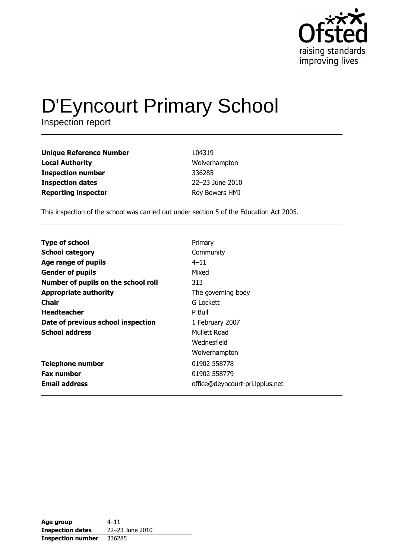

# D'Eyncourt Primary School

| <b>Unique Reference Number</b> | 104319          |
|--------------------------------|-----------------|
| <b>Local Authority</b>         | Wolverhampton   |
| <b>Inspection number</b>       | 336285          |
| <b>Inspection dates</b>        | 22-23 June 2010 |
| <b>Reporting inspector</b>     | Roy Bowers HMI  |

This inspection of the school was carried out under section 5 of the Education Act 2005.

| <b>Type of school</b>               | Primary                         |
|-------------------------------------|---------------------------------|
|                                     |                                 |
| <b>School category</b>              | Community                       |
| Age range of pupils                 | $4 - 11$                        |
| <b>Gender of pupils</b>             | Mixed                           |
| Number of pupils on the school roll | 313                             |
| <b>Appropriate authority</b>        | The governing body              |
| Chair                               | G Lockett                       |
| <b>Headteacher</b>                  | P Bull                          |
| Date of previous school inspection  | 1 February 2007                 |
| <b>School address</b>               | Mullett Road                    |
|                                     | Wednesfield                     |
|                                     | Wolverhampton                   |
| <b>Telephone number</b>             | 01902 558778                    |
| <b>Fax number</b>                   | 01902 558779                    |
| <b>Email address</b>                | office@deyncourt-pri.lpplus.net |

| Age group                | $4 - 11$        |
|--------------------------|-----------------|
| <b>Inspection dates</b>  | 22-23 June 2010 |
| <b>Inspection number</b> | 336285          |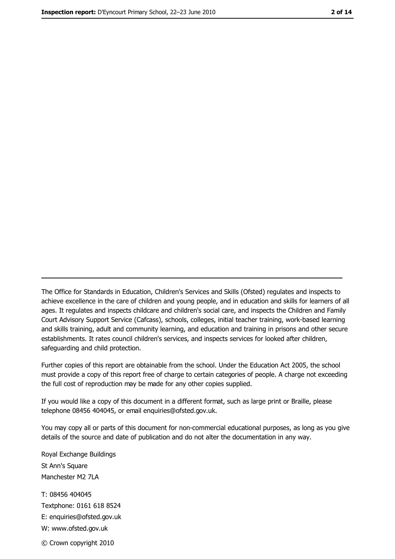The Office for Standards in Education, Children's Services and Skills (Ofsted) regulates and inspects to achieve excellence in the care of children and young people, and in education and skills for learners of all ages. It regulates and inspects childcare and children's social care, and inspects the Children and Family Court Advisory Support Service (Cafcass), schools, colleges, initial teacher training, work-based learning and skills training, adult and community learning, and education and training in prisons and other secure establishments. It rates council children's services, and inspects services for looked after children, safequarding and child protection.

Further copies of this report are obtainable from the school. Under the Education Act 2005, the school must provide a copy of this report free of charge to certain categories of people. A charge not exceeding the full cost of reproduction may be made for any other copies supplied.

If you would like a copy of this document in a different format, such as large print or Braille, please telephone 08456 404045, or email enquiries@ofsted.gov.uk.

You may copy all or parts of this document for non-commercial educational purposes, as long as you give details of the source and date of publication and do not alter the documentation in any way.

Royal Exchange Buildings St Ann's Square Manchester M2 7LA T: 08456 404045 Textphone: 0161 618 8524 E: enquiries@ofsted.gov.uk W: www.ofsted.gov.uk © Crown copyright 2010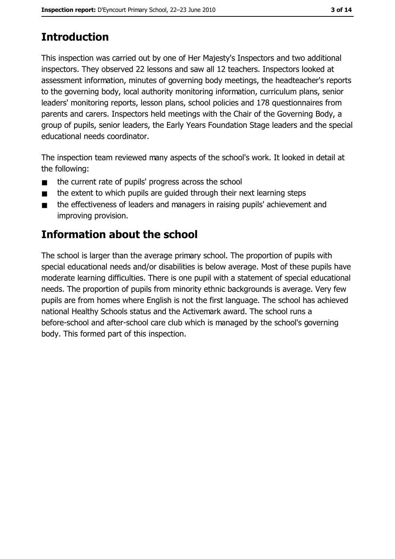# **Introduction**

This inspection was carried out by one of Her Majesty's Inspectors and two additional inspectors. They observed 22 lessons and saw all 12 teachers. Inspectors looked at assessment information, minutes of governing body meetings, the headteacher's reports to the governing body, local authority monitoring information, curriculum plans, senior leaders' monitoring reports, lesson plans, school policies and 178 questionnaires from parents and carers. Inspectors held meetings with the Chair of the Governing Body, a group of pupils, senior leaders, the Early Years Foundation Stage leaders and the special educational needs coordinator.

The inspection team reviewed many aspects of the school's work. It looked in detail at the following:

- the current rate of pupils' progress across the school  $\blacksquare$
- the extent to which pupils are quided through their next learning steps  $\blacksquare$
- the effectiveness of leaders and managers in raising pupils' achievement and  $\blacksquare$ improving provision.

# **Information about the school**

The school is larger than the average primary school. The proportion of pupils with special educational needs and/or disabilities is below average. Most of these pupils have moderate learning difficulties. There is one pupil with a statement of special educational needs. The proportion of pupils from minority ethnic backgrounds is average. Very few pupils are from homes where English is not the first language. The school has achieved national Healthy Schools status and the Activemark award. The school runs a before-school and after-school care club which is managed by the school's governing body. This formed part of this inspection.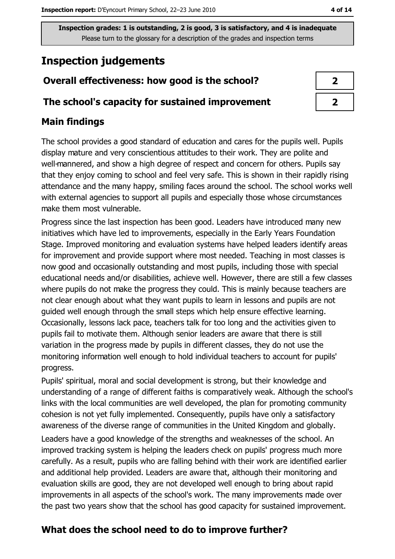# **Inspection judgements**

# Overall effectiveness: how good is the school?

### The school's capacity for sustained improvement

## **Main findings**

The school provides a good standard of education and cares for the pupils well. Pupils display mature and very conscientious attitudes to their work. They are polite and well-mannered, and show a high degree of respect and concern for others. Pupils say that they enjoy coming to school and feel very safe. This is shown in their rapidly rising attendance and the many happy, smiling faces around the school. The school works well with external agencies to support all pupils and especially those whose circumstances make them most vulnerable.

Progress since the last inspection has been good. Leaders have introduced many new initiatives which have led to improvements, especially in the Early Years Foundation Stage. Improved monitoring and evaluation systems have helped leaders identify areas for improvement and provide support where most needed. Teaching in most classes is now good and occasionally outstanding and most pupils, including those with special educational needs and/or disabilities, achieve well. However, there are still a few classes where pupils do not make the progress they could. This is mainly because teachers are not clear enough about what they want pupils to learn in lessons and pupils are not quided well enough through the small steps which help ensure effective learning. Occasionally, lessons lack pace, teachers talk for too long and the activities given to pupils fail to motivate them. Although senior leaders are aware that there is still variation in the progress made by pupils in different classes, they do not use the monitoring information well enough to hold individual teachers to account for pupils' progress.

Pupils' spiritual, moral and social development is strong, but their knowledge and understanding of a range of different faiths is comparatively weak. Although the school's links with the local communities are well developed, the plan for promoting community cohesion is not yet fully implemented. Consequently, pupils have only a satisfactory awareness of the diverse range of communities in the United Kingdom and globally. Leaders have a good knowledge of the strengths and weaknesses of the school. An improved tracking system is helping the leaders check on pupils' progress much more carefully. As a result, pupils who are falling behind with their work are identified earlier and additional help provided. Leaders are aware that, although their monitoring and evaluation skills are good, they are not developed well enough to bring about rapid improvements in all aspects of the school's work. The many improvements made over the past two years show that the school has good capacity for sustained improvement.

# What does the school need to do to improve further?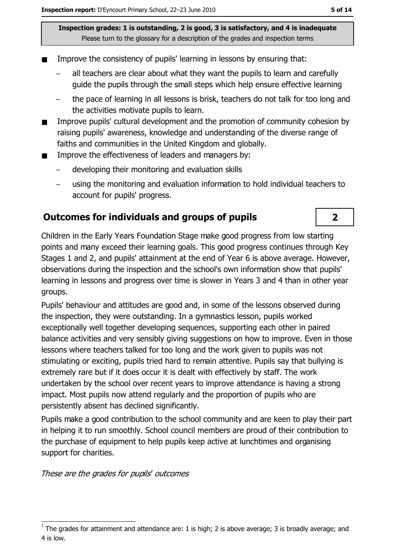- Improve the consistency of pupils' learning in lessons by ensuring that:
	- all teachers are clear about what they want the pupils to learn and carefully quide the pupils through the small steps which help ensure effective learning
	- the pace of learning in all lessons is brisk, teachers do not talk for too long and the activities motivate pupils to learn.
- Improve pupils' cultural development and the promotion of community cohesion by  $\blacksquare$ raising pupils' awareness, knowledge and understanding of the diverse range of faiths and communities in the United Kingdom and globally.
- Improve the effectiveness of leaders and managers by:  $\blacksquare$ 
	- developing their monitoring and evaluation skills
	- using the monitoring and evaluation information to hold individual teachers to account for pupils' progress.

# Outcomes for individuals and groups of pupils

Children in the Early Years Foundation Stage make good progress from low starting points and many exceed their learning goals. This good progress continues through Key Stages 1 and 2, and pupils' attainment at the end of Year 6 is above average. However, observations during the inspection and the school's own information show that pupils' learning in lessons and progress over time is slower in Years 3 and 4 than in other year groups.

Pupils' behaviour and attitudes are good and, in some of the lessons observed during the inspection, they were outstanding. In a gymnastics lesson, pupils worked exceptionally well together developing sequences, supporting each other in paired balance activities and very sensibly giving suggestions on how to improve. Even in those lessons where teachers talked for too long and the work given to pupils was not stimulating or exciting, pupils tried hard to remain attentive. Pupils say that bullying is extremely rare but if it does occur it is dealt with effectively by staff. The work undertaken by the school over recent years to improve attendance is having a strong impact. Most pupils now attend regularly and the proportion of pupils who are persistently absent has declined significantly.

Pupils make a good contribution to the school community and are keen to play their part in helping it to run smoothly. School council members are proud of their contribution to the purchase of equipment to help pupils keep active at lunchtimes and organising support for charities.

These are the grades for pupils' outcomes

 $\overline{2}$ 

The grades for attainment and attendance are: 1 is high; 2 is above average; 3 is broadly average; and 4 is low.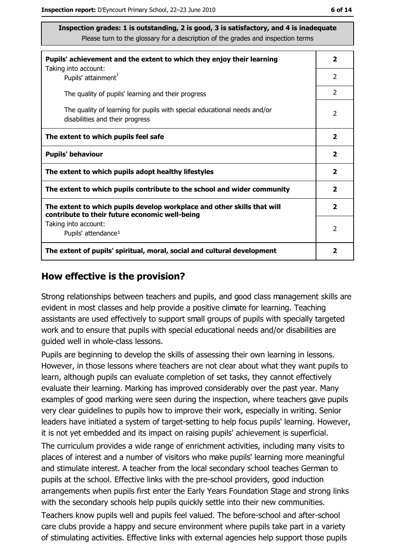| Pupils' achievement and the extent to which they enjoy their learning                                                     | $\overline{\mathbf{2}}$  |
|---------------------------------------------------------------------------------------------------------------------------|--------------------------|
| Taking into account:<br>Pupils' attainment <sup>1</sup>                                                                   | $\overline{2}$           |
| The quality of pupils' learning and their progress                                                                        | $\overline{2}$           |
| The quality of learning for pupils with special educational needs and/or<br>disabilities and their progress               | $\overline{\phantom{a}}$ |
| The extent to which pupils feel safe                                                                                      | $\overline{\mathbf{2}}$  |
| <b>Pupils' behaviour</b>                                                                                                  | $\mathbf{2}$             |
| The extent to which pupils adopt healthy lifestyles                                                                       | 2                        |
| The extent to which pupils contribute to the school and wider community                                                   | $\overline{\mathbf{2}}$  |
| The extent to which pupils develop workplace and other skills that will<br>contribute to their future economic well-being | $\overline{\mathbf{2}}$  |
| Taking into account:                                                                                                      | 2                        |
| Pupils' attendance <sup>1</sup>                                                                                           |                          |
| The extent of pupils' spiritual, moral, social and cultural development                                                   | 2                        |

#### How effective is the provision?

Strong relationships between teachers and pupils, and good class management skills are evident in most classes and help provide a positive climate for learning. Teaching assistants are used effectively to support small groups of pupils with specially targeted work and to ensure that pupils with special educational needs and/or disabilities are quided well in whole-class lessons.

Pupils are beginning to develop the skills of assessing their own learning in lessons. However, in those lessons where teachers are not clear about what they want pupils to learn, although pupils can evaluate completion of set tasks, they cannot effectively evaluate their learning. Marking has improved considerably over the past year. Many examples of good marking were seen during the inspection, where teachers gave pupils very clear quidelines to pupils how to improve their work, especially in writing. Senior leaders have initiated a system of target-setting to help focus pupils' learning. However, it is not yet embedded and its impact on raising pupils' achievement is superficial.

The curriculum provides a wide range of enrichment activities, including many visits to places of interest and a number of visitors who make pupils' learning more meaningful and stimulate interest. A teacher from the local secondary school teaches German to pupils at the school. Effective links with the pre-school providers, good induction arrangements when pupils first enter the Early Years Foundation Stage and strong links with the secondary schools help pupils quickly settle into their new communities.

Teachers know pupils well and pupils feel valued. The before-school and after-school care clubs provide a happy and secure environment where pupils take part in a variety of stimulating activities. Effective links with external agencies help support those pupils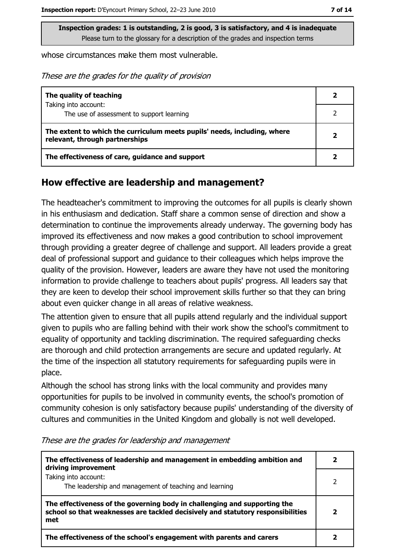whose circumstances make them most vulnerable.

These are the grades for the quality of provision

| The quality of teaching                                                                                    |  |
|------------------------------------------------------------------------------------------------------------|--|
| Taking into account:<br>The use of assessment to support learning                                          |  |
| The extent to which the curriculum meets pupils' needs, including, where<br>relevant, through partnerships |  |
| The effectiveness of care, guidance and support                                                            |  |

#### How effective are leadership and management?

The headteacher's commitment to improving the outcomes for all pupils is clearly shown in his enthusiasm and dedication. Staff share a common sense of direction and show a determination to continue the improvements already underway. The governing body has improved its effectiveness and now makes a good contribution to school improvement through providing a greater degree of challenge and support. All leaders provide a great deal of professional support and quidance to their colleagues which helps improve the quality of the provision. However, leaders are aware they have not used the monitoring information to provide challenge to teachers about pupils' progress. All leaders say that they are keen to develop their school improvement skills further so that they can bring about even quicker change in all areas of relative weakness.

The attention given to ensure that all pupils attend regularly and the individual support given to pupils who are falling behind with their work show the school's commitment to equality of opportunity and tackling discrimination. The required safeguarding checks are thorough and child protection arrangements are secure and updated regularly. At the time of the inspection all statutory requirements for safeguarding pupils were in place.

Although the school has strong links with the local community and provides many opportunities for pupils to be involved in community events, the school's promotion of community cohesion is only satisfactory because pupils' understanding of the diversity of cultures and communities in the United Kingdom and globally is not well developed.

| The effectiveness of leadership and management in embedding ambition and<br>driving improvement                                                                     |  |
|---------------------------------------------------------------------------------------------------------------------------------------------------------------------|--|
| Taking into account:<br>The leadership and management of teaching and learning                                                                                      |  |
| The effectiveness of the governing body in challenging and supporting the<br>school so that weaknesses are tackled decisively and statutory responsibilities<br>met |  |
| The effectiveness of the school's engagement with parents and carers                                                                                                |  |

These are the grades for leadership and management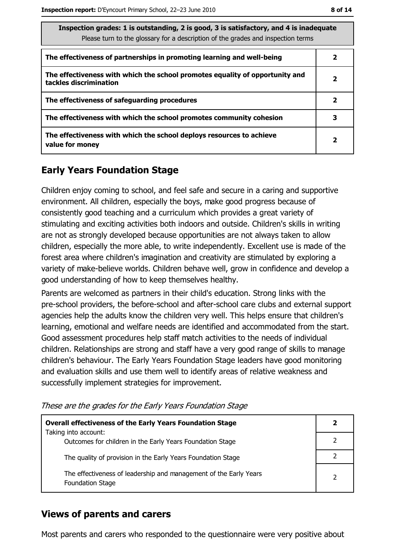| Inspection grades: 1 is outstanding, 2 is good, 3 is satisfactory, and 4 is inadequate<br>Please turn to the glossary for a description of the grades and inspection terms |                         |  |
|----------------------------------------------------------------------------------------------------------------------------------------------------------------------------|-------------------------|--|
| The effectiveness of partnerships in promoting learning and well-being                                                                                                     | 2                       |  |
| The effectiveness with which the school promotes equality of opportunity and<br>tackles discrimination                                                                     | $\overline{\mathbf{2}}$ |  |
| The effectiveness of safeguarding procedures                                                                                                                               | 2                       |  |
| The effectiveness with which the school promotes community cohesion                                                                                                        | 3                       |  |
| The effectiveness with which the school deploys resources to achieve<br>value for money                                                                                    | $\overline{\mathbf{2}}$ |  |

# **Early Years Foundation Stage**

Children enjoy coming to school, and feel safe and secure in a caring and supportive environment. All children, especially the boys, make good progress because of consistently good teaching and a curriculum which provides a great variety of stimulating and exciting activities both indoors and outside. Children's skills in writing are not as strongly developed because opportunities are not always taken to allow children, especially the more able, to write independently. Excellent use is made of the forest area where children's imagination and creativity are stimulated by exploring a variety of make-believe worlds. Children behave well, grow in confidence and develop a good understanding of how to keep themselves healthy.

Parents are welcomed as partners in their child's education. Strong links with the pre-school providers, the before-school and after-school care clubs and external support agencies help the adults know the children very well. This helps ensure that children's learning, emotional and welfare needs are identified and accommodated from the start. Good assessment procedures help staff match activities to the needs of individual children. Relationships are strong and staff have a very good range of skills to manage children's behaviour. The Early Years Foundation Stage leaders have good monitoring and evaluation skills and use them well to identify areas of relative weakness and successfully implement strategies for improvement.

These are the grades for the Early Years Foundation Stage

| <b>Overall effectiveness of the Early Years Foundation Stage</b>                             | 2             |
|----------------------------------------------------------------------------------------------|---------------|
| Taking into account:                                                                         |               |
| Outcomes for children in the Early Years Foundation Stage                                    |               |
| The quality of provision in the Early Years Foundation Stage                                 |               |
| The effectiveness of leadership and management of the Early Years<br><b>Foundation Stage</b> | $\mathcal{P}$ |

## **Views of parents and carers**

Most parents and carers who responded to the questionnaire were very positive about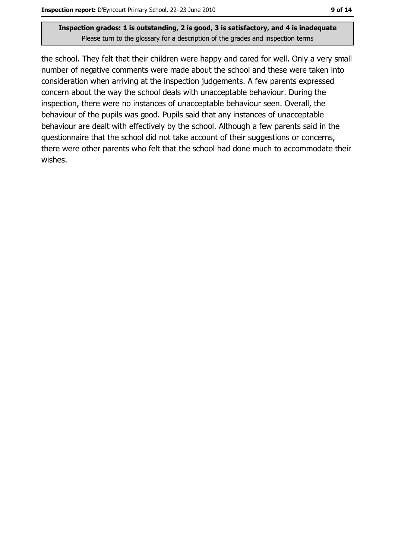the school. They felt that their children were happy and cared for well. Only a very small number of negative comments were made about the school and these were taken into consideration when arriving at the inspection judgements. A few parents expressed concern about the way the school deals with unacceptable behaviour. During the inspection, there were no instances of unacceptable behaviour seen. Overall, the behaviour of the pupils was good. Pupils said that any instances of unacceptable behaviour are dealt with effectively by the school. Although a few parents said in the questionnaire that the school did not take account of their suggestions or concerns, there were other parents who felt that the school had done much to accommodate their wishes.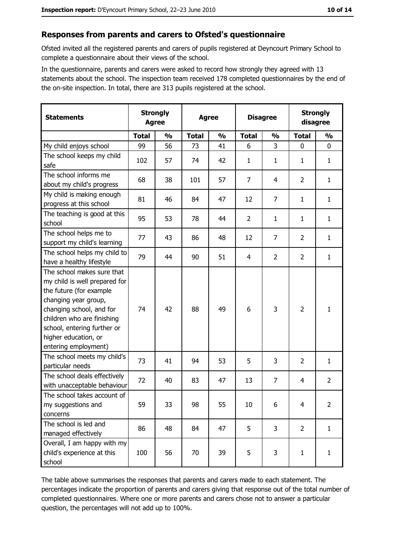## Responses from parents and carers to Ofsted's questionnaire

Ofsted invited all the registered parents and carers of pupils registered at Deyncourt Primary School to complete a questionnaire about their views of the school.

In the questionnaire, parents and carers were asked to record how strongly they agreed with 13 statements about the school. The inspection team received 178 completed questionnaires by the end of the on-site inspection. In total, there are 313 pupils registered at the school.

| <b>Statements</b>                                                                                                                                                                                                                                       | <b>Strongly</b><br><b>Agree</b> |               | <b>Agree</b> |               | <b>Disagree</b> |                | <b>Strongly</b><br>disagree |                |
|---------------------------------------------------------------------------------------------------------------------------------------------------------------------------------------------------------------------------------------------------------|---------------------------------|---------------|--------------|---------------|-----------------|----------------|-----------------------------|----------------|
|                                                                                                                                                                                                                                                         | <b>Total</b>                    | $\frac{0}{0}$ | <b>Total</b> | $\frac{0}{0}$ | <b>Total</b>    | $\frac{0}{0}$  | <b>Total</b>                | $\frac{0}{0}$  |
| My child enjoys school                                                                                                                                                                                                                                  | 99                              | 56            | 73           | 41            | 6               | 3              | $\mathbf 0$                 | 0              |
| The school keeps my child<br>safe                                                                                                                                                                                                                       | 102                             | 57            | 74           | 42            | $\mathbf{1}$    | 1              | 1                           | $\mathbf{1}$   |
| The school informs me<br>about my child's progress                                                                                                                                                                                                      | 68                              | 38            | 101          | 57            | $\overline{7}$  | 4              | 2                           | $\mathbf{1}$   |
| My child is making enough<br>progress at this school                                                                                                                                                                                                    | 81                              | 46            | 84           | 47            | 12              | 7              | 1                           | $\mathbf{1}$   |
| The teaching is good at this<br>school                                                                                                                                                                                                                  | 95                              | 53            | 78           | 44            | $\overline{2}$  | $\mathbf{1}$   | 1                           | $\mathbf{1}$   |
| The school helps me to<br>support my child's learning                                                                                                                                                                                                   | 77                              | 43            | 86           | 48            | 12              | $\overline{7}$ | $\overline{2}$              | $\mathbf{1}$   |
| The school helps my child to<br>have a healthy lifestyle                                                                                                                                                                                                | 79                              | 44            | 90           | 51            | 4               | $\overline{2}$ | $\overline{2}$              | $\mathbf{1}$   |
| The school makes sure that<br>my child is well prepared for<br>the future (for example<br>changing year group,<br>changing school, and for<br>children who are finishing<br>school, entering further or<br>higher education, or<br>entering employment) | 74                              | 42            | 88           | 49            | 6               | 3              | $\overline{2}$              | $\mathbf{1}$   |
| The school meets my child's<br>particular needs                                                                                                                                                                                                         | 73                              | 41            | 94           | 53            | 5               | 3              | $\overline{2}$              | $\mathbf{1}$   |
| The school deals effectively<br>with unacceptable behaviour                                                                                                                                                                                             | 72                              | 40            | 83           | 47            | 13              | $\overline{7}$ | 4                           | $\overline{2}$ |
| The school takes account of<br>my suggestions and<br>concerns                                                                                                                                                                                           | 59                              | 33            | 98           | 55            | 10              | 6              | 4                           | $\overline{2}$ |
| The school is led and<br>managed effectively                                                                                                                                                                                                            | 86                              | 48            | 84           | 47            | 5               | 3              | $\overline{2}$              | $\mathbf{1}$   |
| Overall, I am happy with my<br>child's experience at this<br>school                                                                                                                                                                                     | 100                             | 56            | 70           | 39            | 5               | 3              | $\mathbf{1}$                | $\mathbf{1}$   |

The table above summarises the responses that parents and carers made to each statement. The percentages indicate the proportion of parents and carers giving that response out of the total number of completed questionnaires. Where one or more parents and carers chose not to answer a particular question, the percentages will not add up to 100%.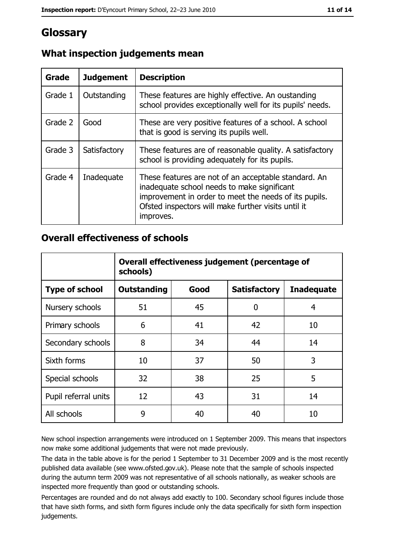# Glossary

| Grade   | <b>Judgement</b> | <b>Description</b>                                                                                                                                                                                                               |
|---------|------------------|----------------------------------------------------------------------------------------------------------------------------------------------------------------------------------------------------------------------------------|
| Grade 1 | Outstanding      | These features are highly effective. An oustanding<br>school provides exceptionally well for its pupils' needs.                                                                                                                  |
| Grade 2 | Good             | These are very positive features of a school. A school<br>that is good is serving its pupils well.                                                                                                                               |
| Grade 3 | Satisfactory     | These features are of reasonable quality. A satisfactory<br>school is providing adequately for its pupils.                                                                                                                       |
| Grade 4 | Inadequate       | These features are not of an acceptable standard. An<br>inadequate school needs to make significant<br>improvement in order to meet the needs of its pupils.<br>Ofsted inspectors will make further visits until it<br>improves. |

# What inspection judgements mean

## **Overall effectiveness of schools**

|                       | Overall effectiveness judgement (percentage of<br>schools) |      |                     |                   |
|-----------------------|------------------------------------------------------------|------|---------------------|-------------------|
| <b>Type of school</b> | <b>Outstanding</b>                                         | Good | <b>Satisfactory</b> | <b>Inadequate</b> |
| Nursery schools       | 51                                                         | 45   | 0                   | 4                 |
| Primary schools       | 6                                                          | 41   | 42                  | 10                |
| Secondary schools     | 8                                                          | 34   | 44                  | 14                |
| Sixth forms           | 10                                                         | 37   | 50                  | 3                 |
| Special schools       | 32                                                         | 38   | 25                  | 5                 |
| Pupil referral units  | 12                                                         | 43   | 31                  | 14                |
| All schools           | 9                                                          | 40   | 40                  | 10                |

New school inspection arrangements were introduced on 1 September 2009. This means that inspectors now make some additional judgements that were not made previously.

The data in the table above is for the period 1 September to 31 December 2009 and is the most recently published data available (see www.ofsted.gov.uk). Please note that the sample of schools inspected during the autumn term 2009 was not representative of all schools nationally, as weaker schools are inspected more frequently than good or outstanding schools.

Percentages are rounded and do not always add exactly to 100. Secondary school figures include those that have sixth forms, and sixth form figures include only the data specifically for sixth form inspection judgements.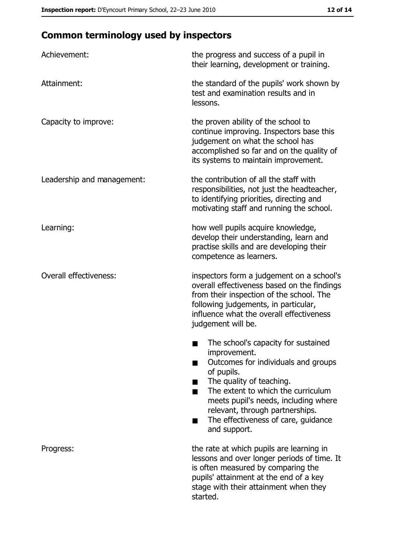# **Common terminology used by inspectors**

| Achievement:                  | the progress and success of a pupil in<br>their learning, development or training.                                                                                                                                                                                                                           |
|-------------------------------|--------------------------------------------------------------------------------------------------------------------------------------------------------------------------------------------------------------------------------------------------------------------------------------------------------------|
| Attainment:                   | the standard of the pupils' work shown by<br>test and examination results and in<br>lessons.                                                                                                                                                                                                                 |
| Capacity to improve:          | the proven ability of the school to<br>continue improving. Inspectors base this<br>judgement on what the school has<br>accomplished so far and on the quality of<br>its systems to maintain improvement.                                                                                                     |
| Leadership and management:    | the contribution of all the staff with<br>responsibilities, not just the headteacher,<br>to identifying priorities, directing and<br>motivating staff and running the school.                                                                                                                                |
| Learning:                     | how well pupils acquire knowledge,<br>develop their understanding, learn and<br>practise skills and are developing their<br>competence as learners.                                                                                                                                                          |
| <b>Overall effectiveness:</b> | inspectors form a judgement on a school's<br>overall effectiveness based on the findings<br>from their inspection of the school. The<br>following judgements, in particular,<br>influence what the overall effectiveness<br>judgement will be.                                                               |
|                               | The school's capacity for sustained<br>improvement.<br>Outcomes for individuals and groups<br>of pupils.<br>The quality of teaching.<br>The extent to which the curriculum<br>meets pupil's needs, including where<br>relevant, through partnerships.<br>The effectiveness of care, guidance<br>and support. |
| Progress:                     | the rate at which pupils are learning in<br>lessons and over longer periods of time. It<br>is often measured by comparing the<br>pupils' attainment at the end of a key<br>stage with their attainment when they<br>started.                                                                                 |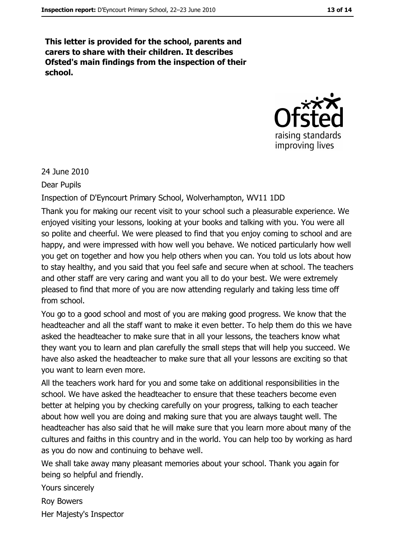This letter is provided for the school, parents and carers to share with their children. It describes Ofsted's main findings from the inspection of their school.



24 June 2010

**Dear Pupils** 

Inspection of D'Eyncourt Primary School, Wolverhampton, WV11 1DD

Thank you for making our recent visit to your school such a pleasurable experience. We enjoyed visiting your lessons, looking at your books and talking with you. You were all so polite and cheerful. We were pleased to find that you enjoy coming to school and are happy, and were impressed with how well you behave. We noticed particularly how well you get on together and how you help others when you can. You told us lots about how to stay healthy, and you said that you feel safe and secure when at school. The teachers and other staff are very caring and want you all to do your best. We were extremely pleased to find that more of you are now attending regularly and taking less time off from school.

You go to a good school and most of you are making good progress. We know that the headteacher and all the staff want to make it even better. To help them do this we have asked the headteacher to make sure that in all your lessons, the teachers know what they want you to learn and plan carefully the small steps that will help you succeed. We have also asked the headteacher to make sure that all your lessons are exciting so that you want to learn even more.

All the teachers work hard for you and some take on additional responsibilities in the school. We have asked the headteacher to ensure that these teachers become even better at helping you by checking carefully on your progress, talking to each teacher about how well you are doing and making sure that you are always taught well. The headteacher has also said that he will make sure that you learn more about many of the cultures and faiths in this country and in the world. You can help too by working as hard as you do now and continuing to behave well.

We shall take away many pleasant memories about your school. Thank you again for being so helpful and friendly.

Yours sincerely **Rov Bowers** 

Her Majesty's Inspector